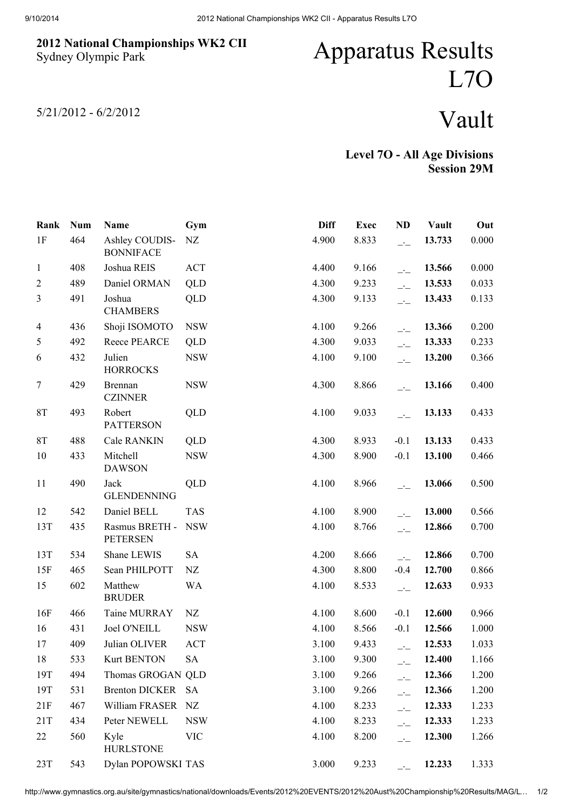## 2012 National Championships WK2 CII Sydney Olympic Park

## Apparatus Results L7O

5/21/2012 - 6/2/2012

## Vault

Level 7O - All Age Divisions Session 29M

| Rank           | <b>Num</b> | Name                               | Gym        | <b>Diff</b> | <b>Exec</b> | <b>ND</b>                  | Vault  | Out   |
|----------------|------------|------------------------------------|------------|-------------|-------------|----------------------------|--------|-------|
| 1F             | 464        | Ashley COUDIS-<br><b>BONNIFACE</b> | NZ         | 4.900       | 8.833       | $\overline{\phantom{a}}$   | 13.733 | 0.000 |
| $\mathbf{1}$   | 408        | Joshua REIS                        | ACT        | 4.400       | 9.166       | $-1$                       | 13.566 | 0.000 |
| $\overline{2}$ | 489        | Daniel ORMAN                       | QLD        | 4.300       | 9.233       | $\overline{a}$             | 13.533 | 0.033 |
| $\mathfrak{Z}$ | 491        | Joshua<br><b>CHAMBERS</b>          | QLD        | 4.300       | 9.133       | $\overline{\phantom{a}}$   | 13.433 | 0.133 |
| $\overline{4}$ | 436        | Shoji ISOMOTO                      | <b>NSW</b> | 4.100       | 9.266       | $-1$                       | 13.366 | 0.200 |
| 5              | 492        | Reece PEARCE                       | QLD        | 4.300       | 9.033       | $\overline{\phantom{a}}$   | 13.333 | 0.233 |
| 6              | 432        | Julien<br><b>HORROCKS</b>          | <b>NSW</b> | 4.100       | 9.100       | $\overline{a}$             | 13.200 | 0.366 |
| $\tau$         | 429        | <b>Brennan</b><br><b>CZINNER</b>   | <b>NSW</b> | 4.300       | 8.866       | $\overline{\phantom{a}}$   | 13.166 | 0.400 |
| 8T             | 493        | Robert<br><b>PATTERSON</b>         | QLD        | 4.100       | 9.033       | $-1$                       | 13.133 | 0.433 |
| 8T             | 488        | <b>Cale RANKIN</b>                 | QLD        | 4.300       | 8.933       | $-0.1$                     | 13.133 | 0.433 |
| 10             | 433        | Mitchell<br><b>DAWSON</b>          | <b>NSW</b> | 4.300       | 8.900       | $-0.1$                     | 13.100 | 0.466 |
| 11             | 490        | Jack<br><b>GLENDENNING</b>         | QLD        | 4.100       | 8.966       | $\overline{\phantom{a}}$   | 13.066 | 0.500 |
| 12             | 542        | Daniel BELL                        | <b>TAS</b> | 4.100       | 8.900       | $-1$                       | 13.000 | 0.566 |
| 13T            | 435        | Rasmus BRETH -<br><b>PETERSEN</b>  | <b>NSW</b> | 4.100       | 8.766       | $\overline{\phantom{a}}$   | 12.866 | 0.700 |
| 13T            | 534        | Shane LEWIS                        | <b>SA</b>  | 4.200       | 8.666       | $\overline{\phantom{a}}$   | 12.866 | 0.700 |
| 15F            | 465        | Sean PHILPOTT                      | NZ         | 4.300       | 8.800       | $-0.4$                     | 12.700 | 0.866 |
| 15             | 602        | Matthew<br><b>BRUDER</b>           | <b>WA</b>  | 4.100       | 8.533       | $-1$                       | 12.633 | 0.933 |
| 16F            | 466        | Taine MURRAY                       | NZ         | 4.100       | 8.600       | $-0.1$                     | 12.600 | 0.966 |
| 16             | 431        | <b>Joel O'NEILL</b>                | <b>NSW</b> | 4.100       | 8.566       | $-0.1$                     | 12.566 | 1.000 |
| 17             | 409        | Julian OLIVER                      | <b>ACT</b> | 3.100       | 9.433       |                            | 12.533 | 1.033 |
| 18             | 533        | <b>Kurt BENTON</b>                 | SA         | 3.100       | 9.300       | $\overline{a}$             | 12.400 | 1.166 |
| 19T            | 494        | Thomas GROGAN QLD                  |            | 3.100       | 9.266       | $\overline{\phantom{a}}$ : | 12.366 | 1.200 |
| 19T            | 531        | <b>Brenton DICKER</b>              | <b>SA</b>  | 3.100       | 9.266       | $\overline{\phantom{a}}$   | 12.366 | 1.200 |
| 21F            | 467        | William FRASER                     | NZ         | 4.100       | 8.233       | $\overline{\phantom{a}}$   | 12.333 | 1.233 |
| 21T            | 434        | Peter NEWELL                       | <b>NSW</b> | 4.100       | 8.233       | $\overline{\phantom{a}}$ : | 12.333 | 1.233 |
| 22             | 560        | Kyle<br><b>HURLSTONE</b>           | <b>VIC</b> | 4.100       | 8.200       | $-1$                       | 12.300 | 1.266 |
| 23T            | 543        | Dylan POPOWSKI TAS                 |            | 3.000       | 9.233       | $\overline{\phantom{a}}$   | 12.233 | 1.333 |